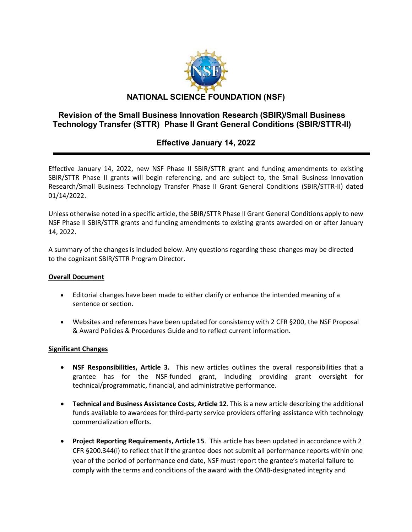

## **Revision of the Small Business Innovation Research (SBIR)/Small Business Technology Transfer (STTR) Phase II Grant General Conditions (SBIR/STTR-II)**

# **Effective January 14, 2022**

Effective January 14, 2022, new NSF Phase II SBIR/STTR grant and funding amendments to existing SBIR/STTR Phase II grants will begin referencing, and are subject to, the Small Business Innovation Research/Small Business Technology Transfer Phase II Grant General Conditions (SBIR/STTR-II) dated 01/14/2022.

Unless otherwise noted in a specific article, the SBIR/STTR Phase II Grant General Conditions apply to new NSF Phase II SBIR/STTR grants and funding amendments to existing grants awarded on or after January 14, 2022.

A summary of the changes is included below. Any questions regarding these changes may be directed to the cognizant SBIR/STTR Program Director.

#### **Overall Document**

- Editorial changes have been made to either clarify or enhance the intended meaning of a sentence or section.
- Websites and references have been updated for consistency with 2 CFR §200, the NSF Proposal & Award Policies & Procedures Guide and to reflect current information.

### **Significant Changes**

- **NSF Responsibilities, Article 3.** This new articles outlines the overall responsibilities that a grantee has for the NSF-funded grant, including providing grant oversight for technical/programmatic, financial, and administrative performance.
- **Technical and Business Assistance Costs, Article 12**. This is a new article describing the additional funds available to awardees for third-party service providers offering assistance with technology commercialization efforts.
- **Project Reporting Requirements, Article 15**. This article has been updated in accordance with 2 CFR §200.344(i) to reflect that if the grantee does not submit all performance reports within one year of the period of performance end date, NSF must report the grantee's material failure to comply with the terms and conditions of the award with the OMB-designated integrity and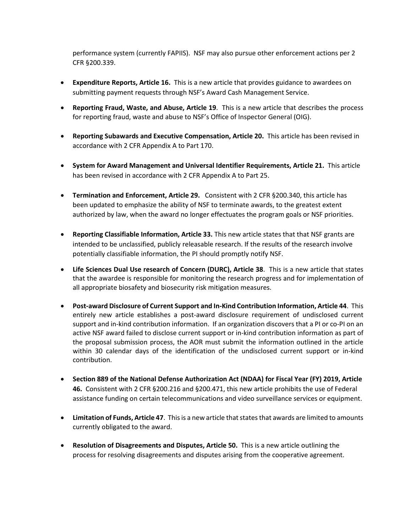performance system (currently FAPIIS). NSF may also pursue other enforcement actions per 2 CFR §200.339.

- **Expenditure Reports, Article 16.** This is a new article that provides guidance to awardees on submitting payment requests through NSF's Award Cash Management Service.
- **Reporting Fraud, Waste, and Abuse, Article 19**. This is a new article that describes the process for reporting fraud, waste and abuse to NSF's Office of Inspector General (OIG).
- **Reporting Subawards and Executive Compensation, Article 20.** This article has been revised in accordance with 2 CFR Appendix A to Part 170.
- **System for Award Management and Universal Identifier Requirements, Article 21.** This article has been revised in accordance with 2 CFR Appendix A to Part 25.
- **Termination and Enforcement, Article 29.** Consistent with 2 CFR §200.340, this article has been updated to emphasize the ability of NSF to terminate awards, to the greatest extent authorized by law, when the award no longer effectuates the program goals or NSF priorities.
- **Reporting Classifiable Information, Article 33.** This new article states that that NSF grants are intended to be unclassified, publicly releasable research. If the results of the research involve potentially classifiable information, the PI should promptly notify NSF.
- **Life Sciences Dual Use research of Concern (DURC), Article 38**. This is a new article that states that the awardee is responsible for monitoring the research progress and for implementation of all appropriate biosafety and biosecurity risk mitigation measures.
- **Post-award Disclosure of Current Support and In-Kind Contribution Information, Article 44**. This entirely new article establishes a post-award disclosure requirement of undisclosed current support and in-kind contribution information. If an organization discovers that a PI or co-PI on an active NSF award failed to disclose current support or in-kind contribution information as part of the proposal submission process, the AOR must submit the information outlined in the article within 30 calendar days of the identification of the undisclosed current support or in-kind contribution.
- **Section 889 of the National Defense Authorization Act (NDAA) for Fiscal Year (FY) 2019, Article 46.** Consistent with 2 CFR §200.216 and §200.471, this new article prohibits the use of Federal assistance funding on certain telecommunications and video surveillance services or equipment.
- **Limitation of Funds, Article 47**. This is a new article that states that awards are limited to amounts currently obligated to the award.
- **Resolution of Disagreements and Disputes, Article 50.** This is a new article outlining the process for resolving disagreements and disputes arising from the cooperative agreement.